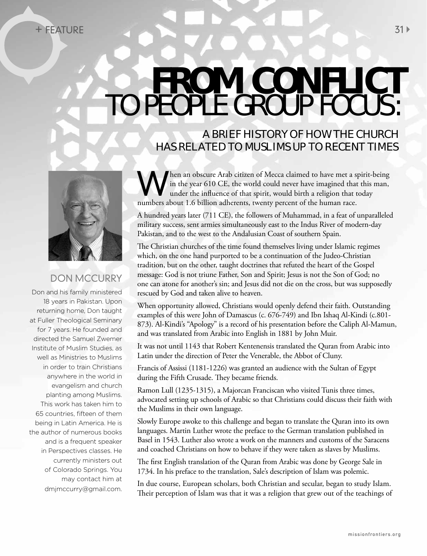## **FROM CONFLICT**  TO PEOPLE GROUP FOCUS:

## A BRIEF HISTORY OF HOW THE CHURCH HAS RELATED TO MUSLIMS UP TO RECENT TIMES



## DON MCCURRY

Don and his family ministered 18 years in Pakistan. Upon returning home, Don taught at Fuller Theological Seminary for 7 years. He founded and directed the Samuel Zwemer Institute of Muslim Studies, as well as Ministries to Muslims in order to train Christians anywhere in the world in evangelism and church planting among Muslims. This work has taken him to 65 countries, fifteen of them being in Latin America. He is the author of numerous books and is a frequent speaker in Perspectives classes. He currently ministers out of Colorado Springs. You may contact him at dmjmccurry@gmail.com.

When an obscure Arab citizen of Mecca claimed to have met a spirit-being<br>in the year 610 CE, the world could never have imagined that this man,<br>under the influence of that spirit, would birth a religion that today<br>numbers in the year 610 CE, the world could never have imagined that this man, under the influence of that spirit, would birth a religion that today numbers about 1.6 billion adherents, twenty percent of the human race.

A hundred years later (711 CE), the followers of Muhammad, in a feat of unparalleled military success, sent armies simultaneously east to the Indus River of modern-day Pakistan, and to the west to the Andalusian Coast of southern Spain.

The Christian churches of the time found themselves living under Islamic regimes which, on the one hand purported to be a continuation of the Judeo-Christian tradition, but on the other, taught doctrines that refuted the heart of the Gospel message: God is not triune Father, Son and Spirit; Jesus is not the Son of God; no one can atone for another's sin; and Jesus did not die on the cross, but was supposedly rescued by God and taken alive to heaven.

When opportunity allowed, Christians would openly defend their faith. Outstanding examples of this were John of Damascus (c. 676-749) and Ibn Ishaq Al-Kindi (c.801- 873). Al-Kindi's "Apology" is a record of his presentation before the Caliph Al-Mamun, and was translated from Arabic into English in 1881 by John Muir.

It was not until 1143 that Robert Kentenensis translated the Quran from Arabic into Latin under the direction of Peter the Venerable, the Abbot of Cluny.

Francis of Assissi (1181-1226) was granted an audience with the Sultan of Egypt during the Fifth Crusade. They became friends.

Ramon Lull (1235-1315), a Majorcan Franciscan who visited Tunis three times, advocated setting up schools of Arabic so that Christians could discuss their faith with the Muslims in their own language.

Slowly Europe awoke to this challenge and began to translate the Quran into its own languages. Martin Luther wrote the preface to the German translation published in Basel in 1543. Luther also wrote a work on the manners and customs of the Saracens and coached Christians on how to behave if they were taken as slaves by Muslims.

The first English translation of the Quran from Arabic was done by George Sale in 1734. In his preface to the translation, Sale's description of Islam was polemic.

In due course, European scholars, both Christian and secular, began to study Islam. Their perception of Islam was that it was a religion that grew out of the teachings of